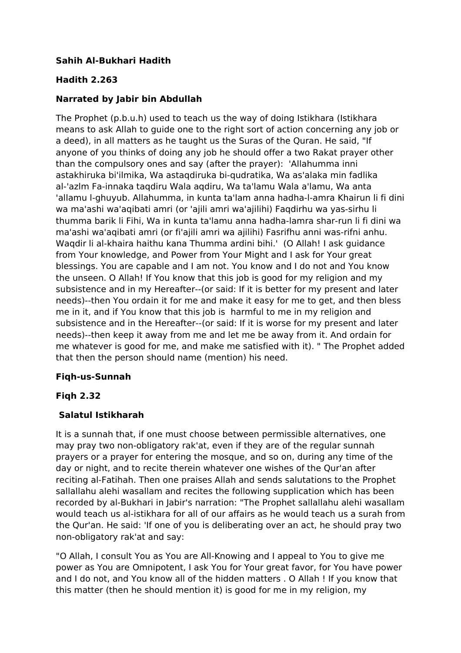### **Sahih Al-Bukhari Hadith**

# **Hadith 2.263**

# **Narrated by Jabir bin Abdullah**

The Prophet (p.b.u.h) used to teach us the way of doing Istikhara (Istikhara means to ask Allah to guide one to the right sort of action concerning any job or a deed), in all matters as he taught us the Suras of the Quran. He said, "If anyone of you thinks of doing any job he should offer a two Rakat prayer other than the compulsory ones and say (after the prayer): 'Allahumma inni astakhiruka bi'ilmika, Wa astaqdiruka bi-qudratika, Wa as'alaka min fadlika al-'azlm Fa-innaka taqdiru Wala aqdiru, Wa ta'lamu Wala a'lamu, Wa anta 'allamu l-ghuyub. Allahumma, in kunta ta'lam anna hadha-l-amra Khairun li fi dini wa ma'ashi wa'aqibati amri (or 'ajili amri wa'ajilihi) Faqdirhu wa yas-sirhu li thumma barik li Fihi, Wa in kunta ta'lamu anna hadha-lamra shar-run li fi dini wa ma'ashi wa'aqibati amri (or fi'ajili amri wa ajilihi) Fasrifhu anni was-rifni anhu. Waqdir li al-khaira haithu kana Thumma ardini bihi.' (O Allah! I ask guidance from Your knowledge, and Power from Your Might and I ask for Your great blessings. You are capable and I am not. You know and I do not and You know the unseen. O Allah! If You know that this job is good for my religion and my subsistence and in my Hereafter--(or said: If it is better for my present and later needs)--then You ordain it for me and make it easy for me to get, and then bless me in it, and if You know that this job is harmful to me in my religion and subsistence and in the Hereafter--(or said: If it is worse for my present and later needs)--then keep it away from me and let me be away from it. And ordain for me whatever is good for me, and make me satisfied with it). " The Prophet added that then the person should name (mention) his need.

### **Fiqh-us-Sunnah**

### **Fiqh 2.32**

### **Salatul Istikharah**

It is a sunnah that, if one must choose between permissible alternatives, one may pray two non-obligatory rak'at, even if they are of the regular sunnah prayers or a prayer for entering the mosque, and so on, during any time of the day or night, and to recite therein whatever one wishes of the Qur'an after reciting al-Fatihah. Then one praises Allah and sends salutations to the Prophet sallallahu alehi wasallam and recites the following supplication which has been recorded by al-Bukhari in Jabir's narration: "The Prophet sallallahu alehi wasallam would teach us al-istikhara for all of our affairs as he would teach us a surah from the Qur'an. He said: 'If one of you is deliberating over an act, he should pray two non-obligatory rak'at and say:

"O Allah, I consult You as You are All-Knowing and I appeal to You to give me power as You are Omnipotent, I ask You for Your great favor, for You have power and I do not, and You know all of the hidden matters . O Allah ! If you know that this matter (then he should mention it) is good for me in my religion, my